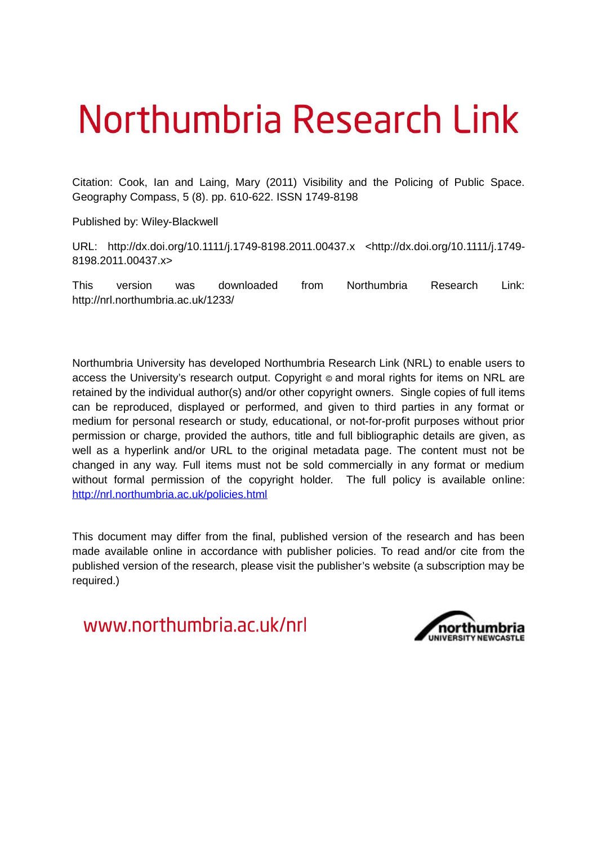# Northumbria Research Link

Citation: Cook, Ian and Laing, Mary (2011) Visibility and the Policing of Public Space. Geography Compass, 5 (8). pp. 610-622. ISSN 1749-8198

Published by: Wiley-Blackwell

URL: http://dx.doi.org/10.1111/j.1749-8198.2011.00437.x <http://dx.doi.org/10.1111/j.1749- 8198.2011.00437.x>

This version was downloaded from Northumbria Research Link: http://nrl.northumbria.ac.uk/1233/

Northumbria University has developed Northumbria Research Link (NRL) to enable users to access the University's research output. Copyright  $\circ$  and moral rights for items on NRL are retained by the individual author(s) and/or other copyright owners. Single copies of full items can be reproduced, displayed or performed, and given to third parties in any format or medium for personal research or study, educational, or not-for-profit purposes without prior permission or charge, provided the authors, title and full bibliographic details are given, as well as a hyperlink and/or URL to the original metadata page. The content must not be changed in any way. Full items must not be sold commercially in any format or medium without formal permission of the copyright holder. The full policy is available online: <http://nrl.northumbria.ac.uk/policies.html>

This document may differ from the final, published version of the research and has been made available online in accordance with publisher policies. To read and/or cite from the published version of the research, please visit the publisher's website (a subscription may be required.)

www.northumbria.ac.uk/nrl

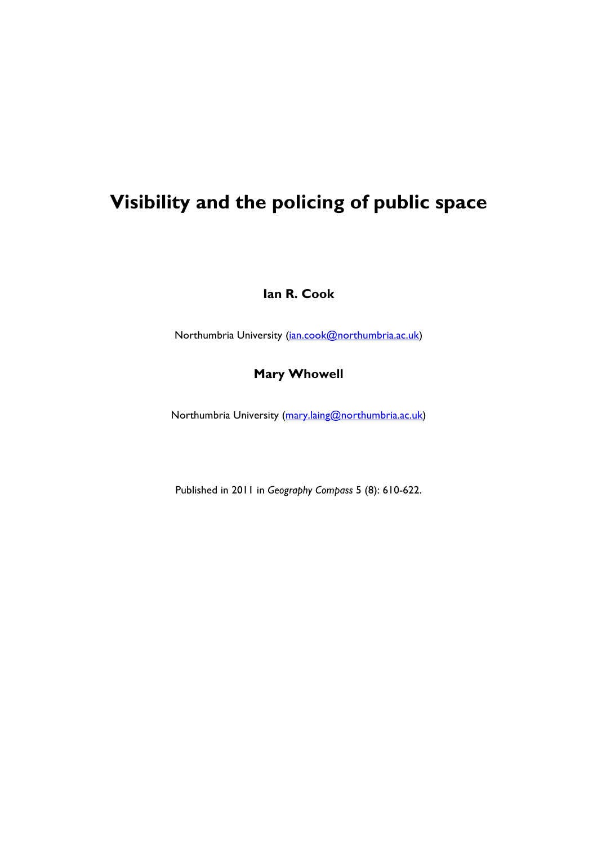## **Visibility and the policing of public space**

**Ian R. Cook**

Northumbria University (ian.cook@northumbria.ac.uk)

### **Mary Whowell**

Northumbria University (mary.laing@northumbria.ac.uk)

Published in 2011 in *Geography Compass* 5 (8): 610-622.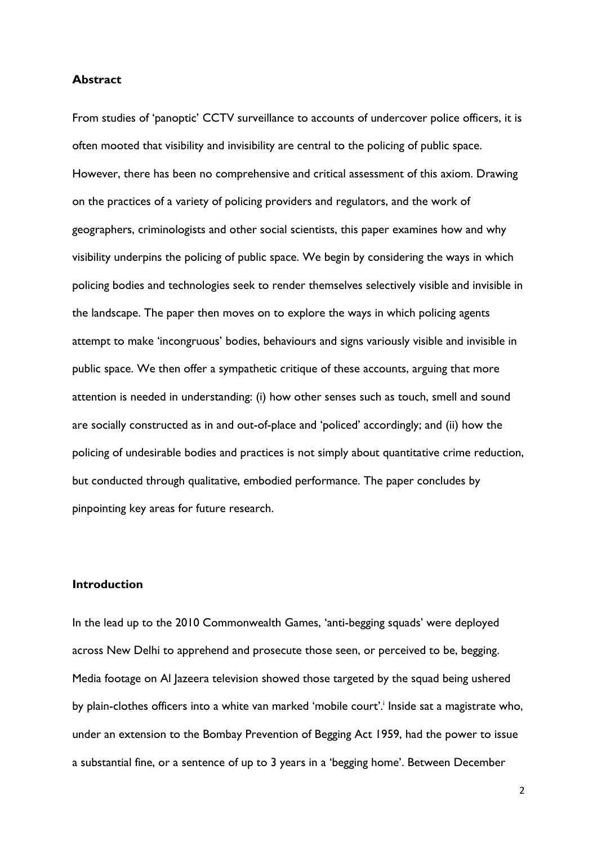#### **Abstract**

From studies of 'panoptic' CCTV surveillance to accounts of undercover police officers, it is often mooted that visibility and invisibility are central to the policing of public space. However, there has been no comprehensive and critical assessment of this axiom. Drawing on the practices of a variety of policing providers and regulators, and the work of geographers, criminologists and other social scientists, this paper examines how and why visibility underpins the policing of public space. We begin by considering the ways in which policing bodies and technologies seek to render themselves selectively visible and invisible in the landscape. The paper then moves on to explore the ways in which policing agents attempt to make 'incongruous' bodies, behaviours and signs variously visible and invisible in public space. We then offer a sympathetic critique of these accounts, arguing that more attention is needed in understanding: (i) how other senses such as touch, smell and sound are socially constructed as in and out-of-place and 'policed' accordingly; and (ii) how the policing of undesirable bodies and practices is not simply about quantitative crime reduction, but conducted through qualitative, embodied performance. The paper concludes by pinpointing key areas for future research.

#### **Introduction**

In the lead up to the 2010 Commonwealth Games, 'anti-begging squads' were deployed across New Delhi to apprehend and prosecute those seen, or perceived to be, begging. Media footage on Al Jazeera television showed those targeted by the squad being ushered by plain-clothes officers into a white van marked 'mobile court'.<sup>i</sup> Inside sat a magistrate who, under an extension to the Bombay Prevention of Begging Act 1959, had the power to issue a substantial fine, or a sentence of up to 3 years in a 'begging home'. Between December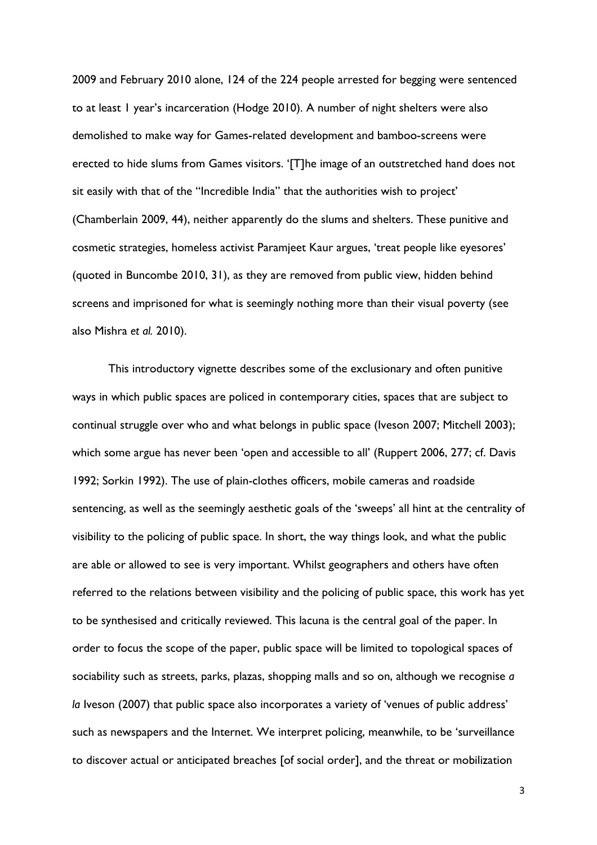2009 and February 2010 alone, 124 of the 224 people arrested for begging were sentenced to at least 1 year's incarceration (Hodge 2010). A number of night shelters were also demolished to make way for Games-related development and bamboo-screens were erected to hide slums from Games visitors. '[T]he image of an outstretched hand does not sit easily with that of the "Incredible India" that the authorities wish to project' (Chamberlain 2009, 44), neither apparently do the slums and shelters. These punitive and cosmetic strategies, homeless activist Paramjeet Kaur argues, 'treat people like eyesores' (quoted in Buncombe 2010, 31), as they are removed from public view, hidden behind screens and imprisoned for what is seemingly nothing more than their visual poverty (see also Mishra *et al.* 2010).

This introductory vignette describes some of the exclusionary and often punitive ways in which public spaces are policed in contemporary cities, spaces that are subject to continual struggle over who and what belongs in public space (Iveson 2007; Mitchell 2003); which some argue has never been 'open and accessible to all' (Ruppert 2006, 277; cf. Davis 1992; Sorkin 1992). The use of plain-clothes officers, mobile cameras and roadside sentencing, as well as the seemingly aesthetic goals of the 'sweeps' all hint at the centrality of visibility to the policing of public space. In short, the way things look, and what the public are able or allowed to see is very important. Whilst geographers and others have often referred to the relations between visibility and the policing of public space, this work has yet to be synthesised and critically reviewed. This lacuna is the central goal of the paper. In order to focus the scope of the paper, public space will be limited to topological spaces of sociability such as streets, parks, plazas, shopping malls and so on, although we recognise *a la* Iveson (2007) that public space also incorporates a variety of 'venues of public address' such as newspapers and the Internet. We interpret policing, meanwhile, to be 'surveillance to discover actual or anticipated breaches [of social order], and the threat or mobilization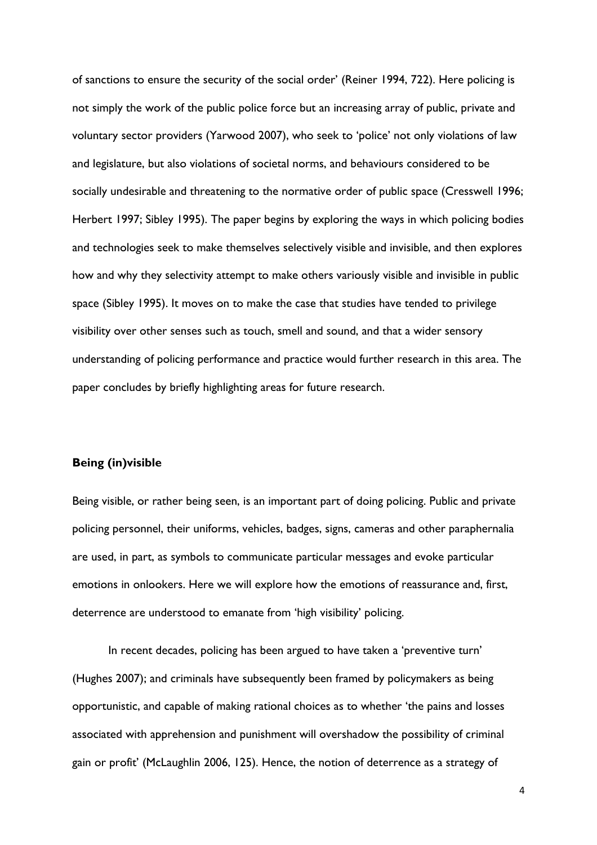of sanctions to ensure the security of the social order' (Reiner 1994, 722). Here policing is not simply the work of the public police force but an increasing array of public, private and voluntary sector providers (Yarwood 2007), who seek to 'police' not only violations of law and legislature, but also violations of societal norms, and behaviours considered to be socially undesirable and threatening to the normative order of public space (Cresswell 1996; Herbert 1997; Sibley 1995). The paper begins by exploring the ways in which policing bodies and technologies seek to make themselves selectively visible and invisible, and then explores how and why they selectivity attempt to make others variously visible and invisible in public space (Sibley 1995). It moves on to make the case that studies have tended to privilege visibility over other senses such as touch, smell and sound, and that a wider sensory understanding of policing performance and practice would further research in this area. The paper concludes by briefly highlighting areas for future research.

#### **Being (in)visible**

Being visible, or rather being seen, is an important part of doing policing. Public and private policing personnel, their uniforms, vehicles, badges, signs, cameras and other paraphernalia are used, in part, as symbols to communicate particular messages and evoke particular emotions in onlookers. Here we will explore how the emotions of reassurance and, first, deterrence are understood to emanate from 'high visibility' policing.

In recent decades, policing has been argued to have taken a 'preventive turn' (Hughes 2007); and criminals have subsequently been framed by policymakers as being opportunistic, and capable of making rational choices as to whether 'the pains and losses associated with apprehension and punishment will overshadow the possibility of criminal gain or profit' (McLaughlin 2006, 125). Hence, the notion of deterrence as a strategy of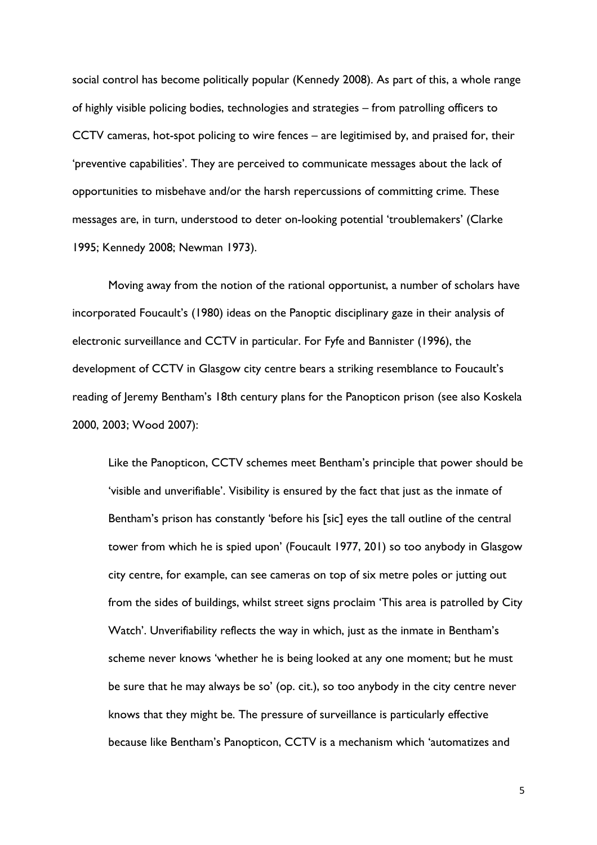social control has become politically popular (Kennedy 2008). As part of this, a whole range of highly visible policing bodies, technologies and strategies – from patrolling officers to CCTV cameras, hot-spot policing to wire fences – are legitimised by, and praised for, their 'preventive capabilities'. They are perceived to communicate messages about the lack of opportunities to misbehave and/or the harsh repercussions of committing crime. These messages are, in turn, understood to deter on-looking potential 'troublemakers' (Clarke 1995; Kennedy 2008; Newman 1973).

Moving away from the notion of the rational opportunist, a number of scholars have incorporated Foucault's (1980) ideas on the Panoptic disciplinary gaze in their analysis of electronic surveillance and CCTV in particular. For Fyfe and Bannister (1996), the development of CCTV in Glasgow city centre bears a striking resemblance to Foucault's reading of Jeremy Bentham's 18th century plans for the Panopticon prison (see also Koskela 2000, 2003; Wood 2007):

Like the Panopticon, CCTV schemes meet Bentham's principle that power should be 'visible and unverifiable'. Visibility is ensured by the fact that just as the inmate of Bentham's prison has constantly 'before his [sic] eyes the tall outline of the central tower from which he is spied upon' (Foucault 1977, 201) so too anybody in Glasgow city centre, for example, can see cameras on top of six metre poles or jutting out from the sides of buildings, whilst street signs proclaim 'This area is patrolled by City Watch'. Unverifiability reflects the way in which, just as the inmate in Bentham's scheme never knows 'whether he is being looked at any one moment; but he must be sure that he may always be so' (op. cit.), so too anybody in the city centre never knows that they might be. The pressure of surveillance is particularly effective because like Bentham's Panopticon, CCTV is a mechanism which 'automatizes and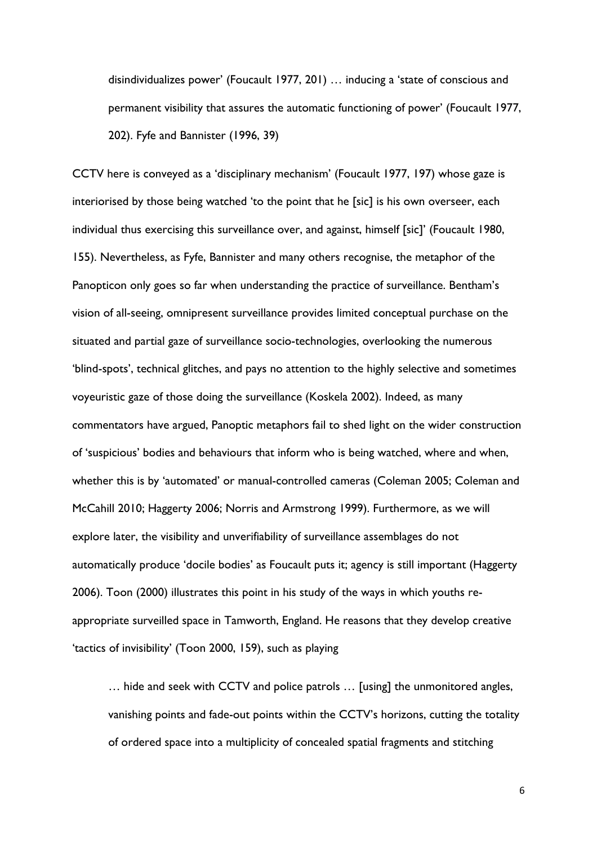disindividualizes power' (Foucault 1977, 201) … inducing a 'state of conscious and permanent visibility that assures the automatic functioning of power' (Foucault 1977, 202). Fyfe and Bannister (1996, 39)

CCTV here is conveyed as a 'disciplinary mechanism' (Foucault 1977, 197) whose gaze is interiorised by those being watched 'to the point that he [sic] is his own overseer, each individual thus exercising this surveillance over, and against, himself [sic]' (Foucault 1980, 155). Nevertheless, as Fyfe, Bannister and many others recognise, the metaphor of the Panopticon only goes so far when understanding the practice of surveillance. Bentham's vision of all-seeing, omnipresent surveillance provides limited conceptual purchase on the situated and partial gaze of surveillance socio-technologies, overlooking the numerous 'blind-spots', technical glitches, and pays no attention to the highly selective and sometimes voyeuristic gaze of those doing the surveillance (Koskela 2002). Indeed, as many commentators have argued, Panoptic metaphors fail to shed light on the wider construction of 'suspicious' bodies and behaviours that inform who is being watched, where and when, whether this is by 'automated' or manual-controlled cameras (Coleman 2005; Coleman and McCahill 2010; Haggerty 2006; Norris and Armstrong 1999). Furthermore, as we will explore later, the visibility and unverifiability of surveillance assemblages do not automatically produce 'docile bodies' as Foucault puts it; agency is still important (Haggerty 2006). Toon (2000) illustrates this point in his study of the ways in which youths reappropriate surveilled space in Tamworth, England. He reasons that they develop creative 'tactics of invisibility' (Toon 2000, 159), such as playing

… hide and seek with CCTV and police patrols … [using] the unmonitored angles, vanishing points and fade-out points within the CCTV's horizons, cutting the totality of ordered space into a multiplicity of concealed spatial fragments and stitching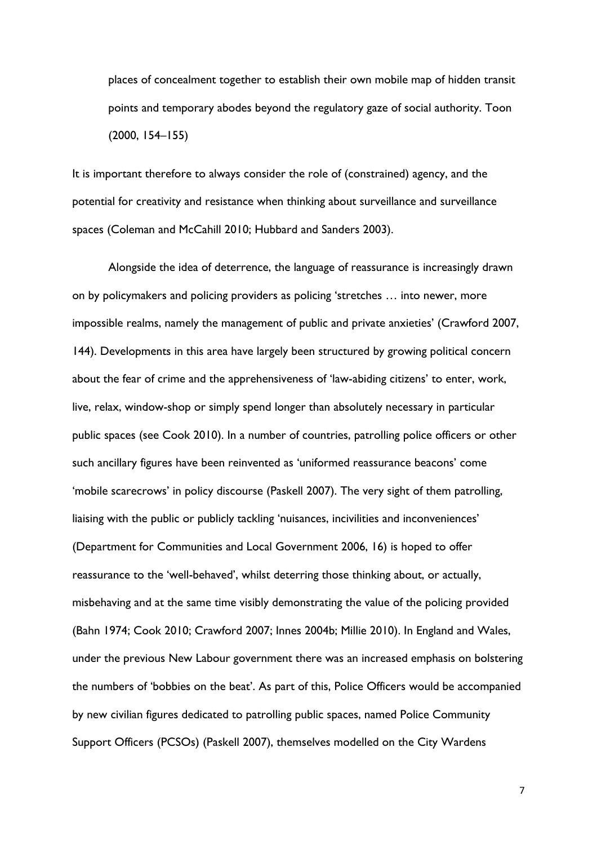places of concealment together to establish their own mobile map of hidden transit points and temporary abodes beyond the regulatory gaze of social authority. Toon (2000, 154–155)

It is important therefore to always consider the role of (constrained) agency, and the potential for creativity and resistance when thinking about surveillance and surveillance spaces (Coleman and McCahill 2010; Hubbard and Sanders 2003).

Alongside the idea of deterrence, the language of reassurance is increasingly drawn on by policymakers and policing providers as policing 'stretches … into newer, more impossible realms, namely the management of public and private anxieties' (Crawford 2007, 144). Developments in this area have largely been structured by growing political concern about the fear of crime and the apprehensiveness of 'law-abiding citizens' to enter, work, live, relax, window-shop or simply spend longer than absolutely necessary in particular public spaces (see Cook 2010). In a number of countries, patrolling police officers or other such ancillary figures have been reinvented as 'uniformed reassurance beacons' come 'mobile scarecrows' in policy discourse (Paskell 2007). The very sight of them patrolling, liaising with the public or publicly tackling 'nuisances, incivilities and inconveniences' (Department for Communities and Local Government 2006, 16) is hoped to offer reassurance to the 'well-behaved', whilst deterring those thinking about, or actually, misbehaving and at the same time visibly demonstrating the value of the policing provided (Bahn 1974; Cook 2010; Crawford 2007; Innes 2004b; Millie 2010). In England and Wales, under the previous New Labour government there was an increased emphasis on bolstering the numbers of 'bobbies on the beat'. As part of this, Police Officers would be accompanied by new civilian figures dedicated to patrolling public spaces, named Police Community Support Officers (PCSOs) (Paskell 2007), themselves modelled on the City Wardens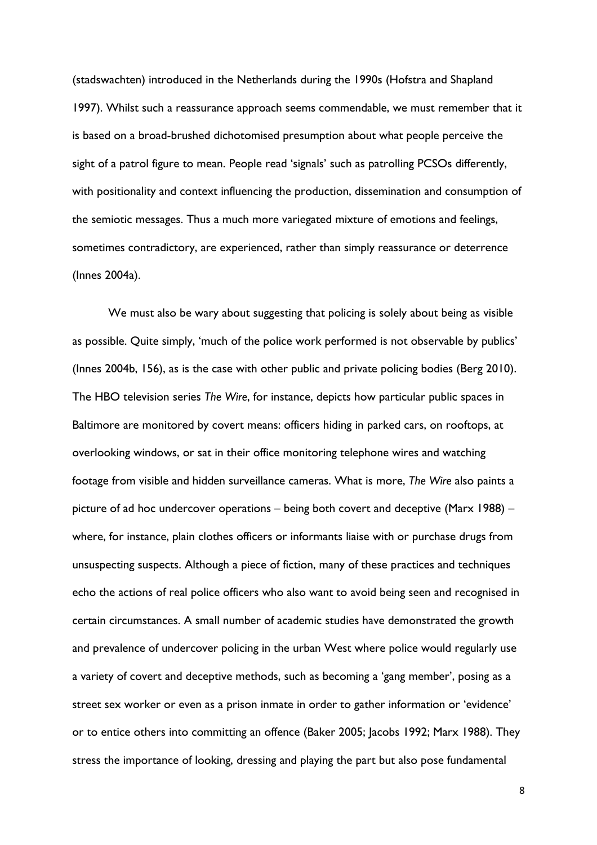(stadswachten) introduced in the Netherlands during the 1990s (Hofstra and Shapland 1997). Whilst such a reassurance approach seems commendable, we must remember that it is based on a broad-brushed dichotomised presumption about what people perceive the sight of a patrol figure to mean. People read 'signals' such as patrolling PCSOs differently, with positionality and context influencing the production, dissemination and consumption of the semiotic messages. Thus a much more variegated mixture of emotions and feelings, sometimes contradictory, are experienced, rather than simply reassurance or deterrence (Innes 2004a).

We must also be wary about suggesting that policing is solely about being as visible as possible. Quite simply, 'much of the police work performed is not observable by publics' (Innes 2004b, 156), as is the case with other public and private policing bodies (Berg 2010). The HBO television series *The Wire*, for instance, depicts how particular public spaces in Baltimore are monitored by covert means: officers hiding in parked cars, on rooftops, at overlooking windows, or sat in their office monitoring telephone wires and watching footage from visible and hidden surveillance cameras. What is more, *The Wire* also paints a picture of ad hoc undercover operations – being both covert and deceptive (Marx 1988) – where, for instance, plain clothes officers or informants liaise with or purchase drugs from unsuspecting suspects. Although a piece of fiction, many of these practices and techniques echo the actions of real police officers who also want to avoid being seen and recognised in certain circumstances. A small number of academic studies have demonstrated the growth and prevalence of undercover policing in the urban West where police would regularly use a variety of covert and deceptive methods, such as becoming a 'gang member', posing as a street sex worker or even as a prison inmate in order to gather information or 'evidence' or to entice others into committing an offence (Baker 2005; Jacobs 1992; Marx 1988). They stress the importance of looking, dressing and playing the part but also pose fundamental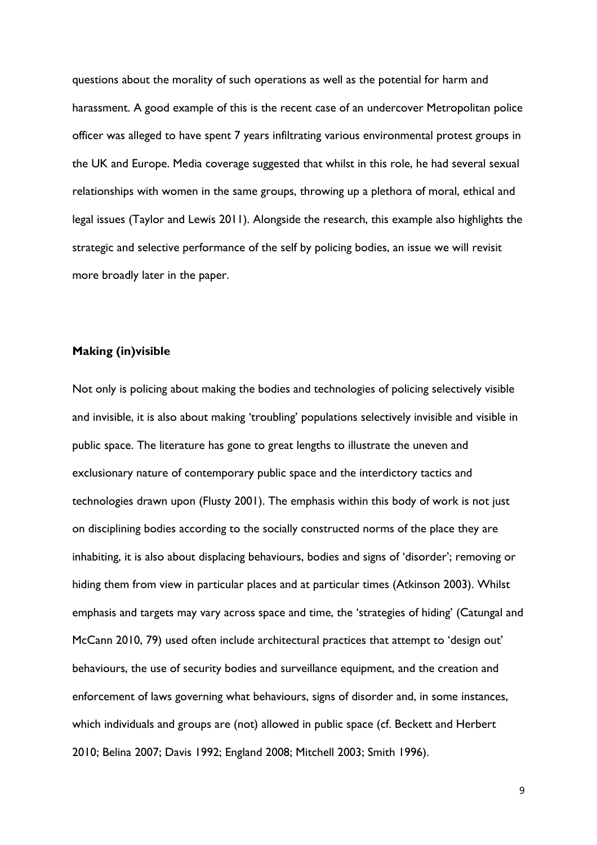questions about the morality of such operations as well as the potential for harm and harassment. A good example of this is the recent case of an undercover Metropolitan police officer was alleged to have spent 7 years infiltrating various environmental protest groups in the UK and Europe. Media coverage suggested that whilst in this role, he had several sexual relationships with women in the same groups, throwing up a plethora of moral, ethical and legal issues (Taylor and Lewis 2011). Alongside the research, this example also highlights the strategic and selective performance of the self by policing bodies, an issue we will revisit more broadly later in the paper.

#### **Making (in)visible**

Not only is policing about making the bodies and technologies of policing selectively visible and invisible, it is also about making 'troubling' populations selectively invisible and visible in public space. The literature has gone to great lengths to illustrate the uneven and exclusionary nature of contemporary public space and the interdictory tactics and technologies drawn upon (Flusty 2001). The emphasis within this body of work is not just on disciplining bodies according to the socially constructed norms of the place they are inhabiting, it is also about displacing behaviours, bodies and signs of 'disorder'; removing or hiding them from view in particular places and at particular times (Atkinson 2003). Whilst emphasis and targets may vary across space and time, the 'strategies of hiding' (Catungal and McCann 2010, 79) used often include architectural practices that attempt to 'design out' behaviours, the use of security bodies and surveillance equipment, and the creation and enforcement of laws governing what behaviours, signs of disorder and, in some instances, which individuals and groups are (not) allowed in public space (cf. Beckett and Herbert 2010; Belina 2007; Davis 1992; England 2008; Mitchell 2003; Smith 1996).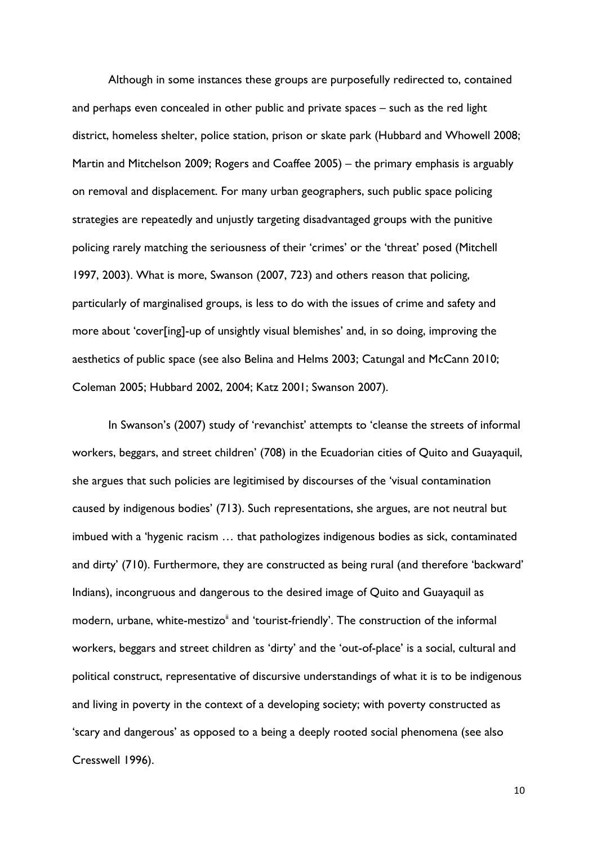Although in some instances these groups are purposefully redirected to, contained and perhaps even concealed in other public and private spaces – such as the red light district, homeless shelter, police station, prison or skate park (Hubbard and Whowell 2008; Martin and Mitchelson 2009; Rogers and Coaffee 2005) – the primary emphasis is arguably on removal and displacement. For many urban geographers, such public space policing strategies are repeatedly and unjustly targeting disadvantaged groups with the punitive policing rarely matching the seriousness of their 'crimes' or the 'threat' posed (Mitchell 1997, 2003). What is more, Swanson (2007, 723) and others reason that policing, particularly of marginalised groups, is less to do with the issues of crime and safety and more about 'cover[ing]-up of unsightly visual blemishes' and, in so doing, improving the aesthetics of public space (see also Belina and Helms 2003; Catungal and McCann 2010; Coleman 2005; Hubbard 2002, 2004; Katz 2001; Swanson 2007).

In Swanson's (2007) study of 'revanchist' attempts to 'cleanse the streets of informal workers, beggars, and street children' (708) in the Ecuadorian cities of Quito and Guayaquil, she argues that such policies are legitimised by discourses of the 'visual contamination caused by indigenous bodies' (713). Such representations, she argues, are not neutral but imbued with a 'hygenic racism … that pathologizes indigenous bodies as sick, contaminated and dirty' (710). Furthermore, they are constructed as being rural (and therefore 'backward' Indians), incongruous and dangerous to the desired image of Quito and Guayaquil as modern, urbane, white-mestizo<sup>ii</sup> and 'tourist-friendly'. The construction of the informal workers, beggars and street children as 'dirty' and the 'out-of-place' is a social, cultural and political construct, representative of discursive understandings of what it is to be indigenous and living in poverty in the context of a developing society; with poverty constructed as 'scary and dangerous' as opposed to a being a deeply rooted social phenomena (see also Cresswell 1996).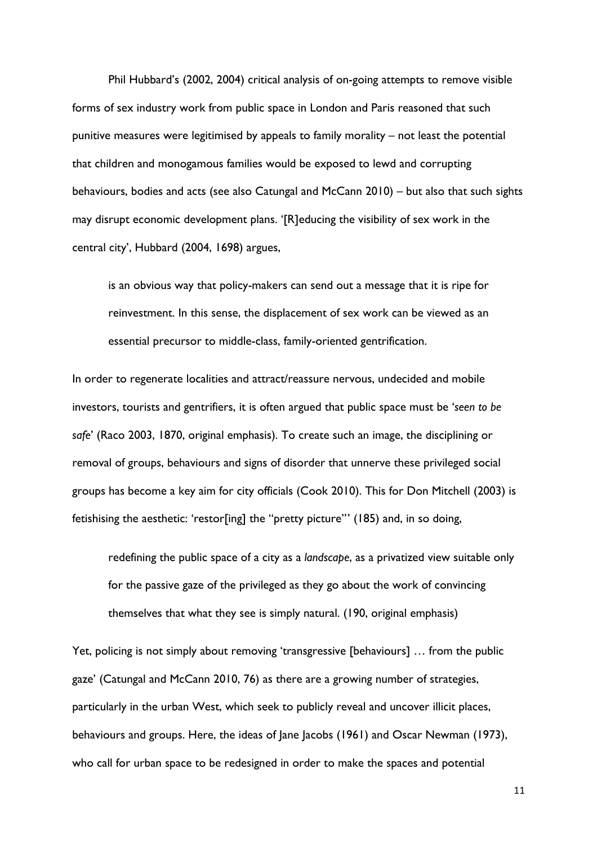Phil Hubbard's (2002, 2004) critical analysis of on-going attempts to remove visible forms of sex industry work from public space in London and Paris reasoned that such punitive measures were legitimised by appeals to family morality – not least the potential that children and monogamous families would be exposed to lewd and corrupting behaviours, bodies and acts (see also Catungal and McCann 2010) – but also that such sights may disrupt economic development plans. '[R]educing the visibility of sex work in the central city', Hubbard (2004, 1698) argues,

is an obvious way that policy-makers can send out a message that it is ripe for reinvestment. In this sense, the displacement of sex work can be viewed as an essential precursor to middle-class, family-oriented gentrification.

In order to regenerate localities and attract/reassure nervous, undecided and mobile investors, tourists and gentrifiers, it is often argued that public space must be '*seen to be safe*' (Raco 2003, 1870, original emphasis). To create such an image, the disciplining or removal of groups, behaviours and signs of disorder that unnerve these privileged social groups has become a key aim for city officials (Cook 2010). This for Don Mitchell (2003) is fetishising the aesthetic: 'restor[ing] the "pretty picture"' (185) and, in so doing,

redefining the public space of a city as a *landscape*, as a privatized view suitable only for the passive gaze of the privileged as they go about the work of convincing themselves that what they see is simply natural. (190, original emphasis)

Yet, policing is not simply about removing 'transgressive [behaviours] … from the public gaze' (Catungal and McCann 2010, 76) as there are a growing number of strategies, particularly in the urban West, which seek to publicly reveal and uncover illicit places, behaviours and groups. Here, the ideas of Jane Jacobs (1961) and Oscar Newman (1973), who call for urban space to be redesigned in order to make the spaces and potential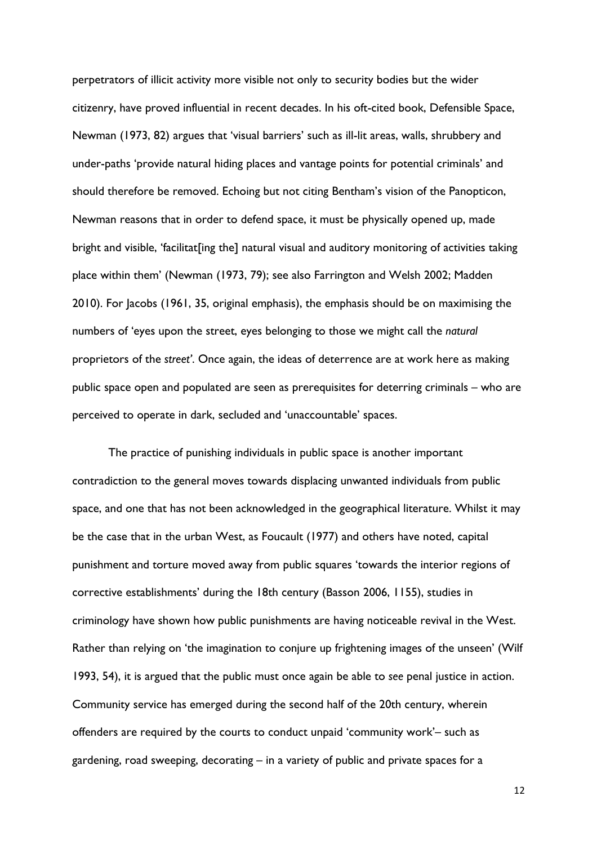perpetrators of illicit activity more visible not only to security bodies but the wider citizenry, have proved influential in recent decades. In his oft-cited book, Defensible Space, Newman (1973, 82) argues that 'visual barriers' such as ill-lit areas, walls, shrubbery and under-paths 'provide natural hiding places and vantage points for potential criminals' and should therefore be removed. Echoing but not citing Bentham's vision of the Panopticon, Newman reasons that in order to defend space, it must be physically opened up, made bright and visible, 'facilitat[ing the] natural visual and auditory monitoring of activities taking place within them' (Newman (1973, 79); see also Farrington and Welsh 2002; Madden 2010). For Jacobs (1961, 35, original emphasis), the emphasis should be on maximising the numbers of 'eyes upon the street, eyes belonging to those we might call the *natural* proprietors of the *street'*. Once again, the ideas of deterrence are at work here as making public space open and populated are seen as prerequisites for deterring criminals – who are perceived to operate in dark, secluded and 'unaccountable' spaces.

The practice of punishing individuals in public space is another important contradiction to the general moves towards displacing unwanted individuals from public space, and one that has not been acknowledged in the geographical literature. Whilst it may be the case that in the urban West, as Foucault (1977) and others have noted, capital punishment and torture moved away from public squares 'towards the interior regions of corrective establishments' during the 18th century (Basson 2006, 1155), studies in criminology have shown how public punishments are having noticeable revival in the West. Rather than relying on 'the imagination to conjure up frightening images of the unseen' (Wilf 1993, 54), it is argued that the public must once again be able to *see* penal justice in action. Community service has emerged during the second half of the 20th century, wherein offenders are required by the courts to conduct unpaid 'community work'– such as gardening, road sweeping, decorating – in a variety of public and private spaces for a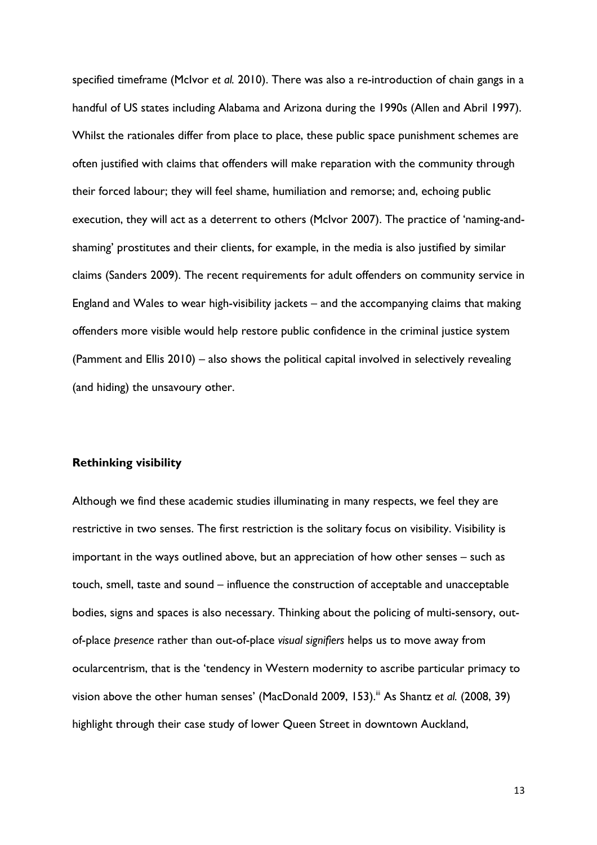specified timeframe (McIvor *et al.* 2010). There was also a re-introduction of chain gangs in a handful of US states including Alabama and Arizona during the 1990s (Allen and Abril 1997). Whilst the rationales differ from place to place, these public space punishment schemes are often justified with claims that offenders will make reparation with the community through their forced labour; they will feel shame, humiliation and remorse; and, echoing public execution, they will act as a deterrent to others (McIvor 2007). The practice of 'naming-andshaming' prostitutes and their clients, for example, in the media is also justified by similar claims (Sanders 2009). The recent requirements for adult offenders on community service in England and Wales to wear high-visibility jackets – and the accompanying claims that making offenders more visible would help restore public confidence in the criminal justice system (Pamment and Ellis 2010) – also shows the political capital involved in selectively revealing (and hiding) the unsavoury other.

#### **Rethinking visibility**

Although we find these academic studies illuminating in many respects, we feel they are restrictive in two senses. The first restriction is the solitary focus on visibility. Visibility is important in the ways outlined above, but an appreciation of how other senses – such as touch, smell, taste and sound – influence the construction of acceptable and unacceptable bodies, signs and spaces is also necessary. Thinking about the policing of multi-sensory, outof-place *presence* rather than out-of-place *visual signifiers* helps us to move away from ocularcentrism, that is the 'tendency in Western modernity to ascribe particular primacy to vision above the other human senses' (MacDonald 2009, 153).<sup>iii</sup> As Shantz *et al.* (2008, 39) highlight through their case study of lower Queen Street in downtown Auckland,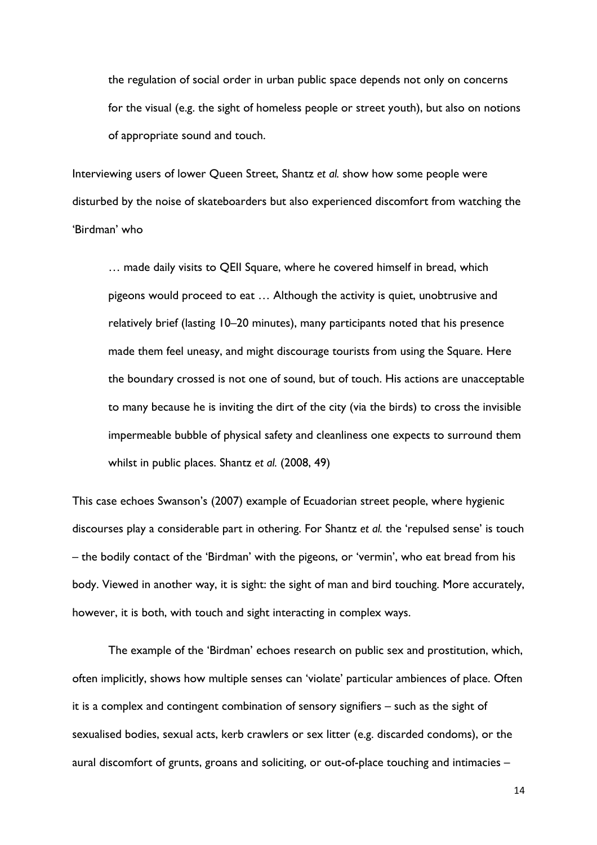the regulation of social order in urban public space depends not only on concerns for the visual (e.g. the sight of homeless people or street youth), but also on notions of appropriate sound and touch.

Interviewing users of lower Queen Street, Shantz *et al.* show how some people were disturbed by the noise of skateboarders but also experienced discomfort from watching the 'Birdman' who

… made daily visits to QEII Square, where he covered himself in bread, which pigeons would proceed to eat … Although the activity is quiet, unobtrusive and relatively brief (lasting 10–20 minutes), many participants noted that his presence made them feel uneasy, and might discourage tourists from using the Square. Here the boundary crossed is not one of sound, but of touch. His actions are unacceptable to many because he is inviting the dirt of the city (via the birds) to cross the invisible impermeable bubble of physical safety and cleanliness one expects to surround them whilst in public places. Shantz *et al.* (2008, 49)

This case echoes Swanson's (2007) example of Ecuadorian street people, where hygienic discourses play a considerable part in othering. For Shantz *et al.* the 'repulsed sense' is touch – the bodily contact of the 'Birdman' with the pigeons, or 'vermin', who eat bread from his body. Viewed in another way, it is sight: the sight of man and bird touching. More accurately, however, it is both, with touch and sight interacting in complex ways.

The example of the 'Birdman' echoes research on public sex and prostitution, which, often implicitly, shows how multiple senses can 'violate' particular ambiences of place. Often it is a complex and contingent combination of sensory signifiers – such as the sight of sexualised bodies, sexual acts, kerb crawlers or sex litter (e.g. discarded condoms), or the aural discomfort of grunts, groans and soliciting, or out-of-place touching and intimacies –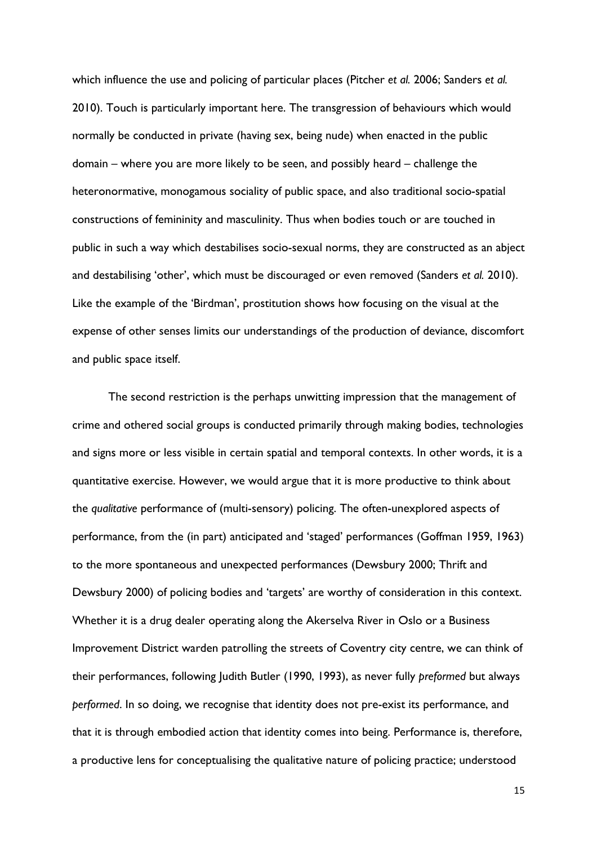which influence the use and policing of particular places (Pitcher *et al.* 2006; Sanders *et al.* 2010). Touch is particularly important here. The transgression of behaviours which would normally be conducted in private (having sex, being nude) when enacted in the public domain – where you are more likely to be seen, and possibly heard – challenge the heteronormative, monogamous sociality of public space, and also traditional socio-spatial constructions of femininity and masculinity. Thus when bodies touch or are touched in public in such a way which destabilises socio-sexual norms, they are constructed as an abject and destabilising 'other', which must be discouraged or even removed (Sanders *et al.* 2010). Like the example of the 'Birdman', prostitution shows how focusing on the visual at the expense of other senses limits our understandings of the production of deviance, discomfort and public space itself.

The second restriction is the perhaps unwitting impression that the management of crime and othered social groups is conducted primarily through making bodies, technologies and signs more or less visible in certain spatial and temporal contexts. In other words, it is a quantitative exercise. However, we would argue that it is more productive to think about the *qualitative* performance of (multi-sensory) policing. The often-unexplored aspects of performance, from the (in part) anticipated and 'staged' performances (Goffman 1959, 1963) to the more spontaneous and unexpected performances (Dewsbury 2000; Thrift and Dewsbury 2000) of policing bodies and 'targets' are worthy of consideration in this context. Whether it is a drug dealer operating along the Akerselva River in Oslo or a Business Improvement District warden patrolling the streets of Coventry city centre, we can think of their performances, following Judith Butler (1990, 1993), as never fully *preformed* but always *performed*. In so doing, we recognise that identity does not pre-exist its performance, and that it is through embodied action that identity comes into being. Performance is, therefore, a productive lens for conceptualising the qualitative nature of policing practice; understood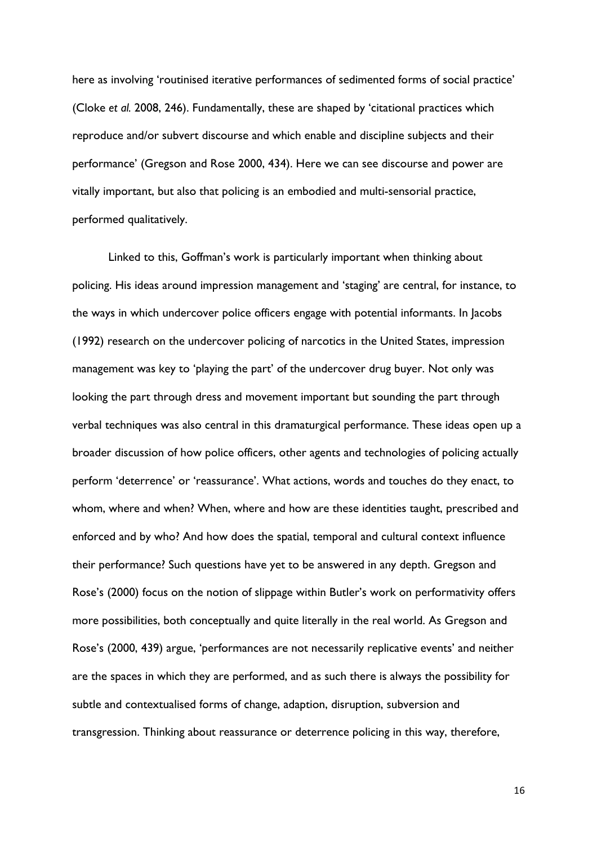here as involving 'routinised iterative performances of sedimented forms of social practice' (Cloke *et al.* 2008, 246). Fundamentally, these are shaped by 'citational practices which reproduce and/or subvert discourse and which enable and discipline subjects and their performance' (Gregson and Rose 2000, 434). Here we can see discourse and power are vitally important, but also that policing is an embodied and multi-sensorial practice, performed qualitatively.

Linked to this, Goffman's work is particularly important when thinking about policing. His ideas around impression management and 'staging' are central, for instance, to the ways in which undercover police officers engage with potential informants. In Jacobs (1992) research on the undercover policing of narcotics in the United States, impression management was key to 'playing the part' of the undercover drug buyer. Not only was looking the part through dress and movement important but sounding the part through verbal techniques was also central in this dramaturgical performance. These ideas open up a broader discussion of how police officers, other agents and technologies of policing actually perform 'deterrence' or 'reassurance'. What actions, words and touches do they enact, to whom, where and when? When, where and how are these identities taught, prescribed and enforced and by who? And how does the spatial, temporal and cultural context influence their performance? Such questions have yet to be answered in any depth. Gregson and Rose's (2000) focus on the notion of slippage within Butler's work on performativity offers more possibilities, both conceptually and quite literally in the real world. As Gregson and Rose's (2000, 439) argue, 'performances are not necessarily replicative events' and neither are the spaces in which they are performed, and as such there is always the possibility for subtle and contextualised forms of change, adaption, disruption, subversion and transgression. Thinking about reassurance or deterrence policing in this way, therefore,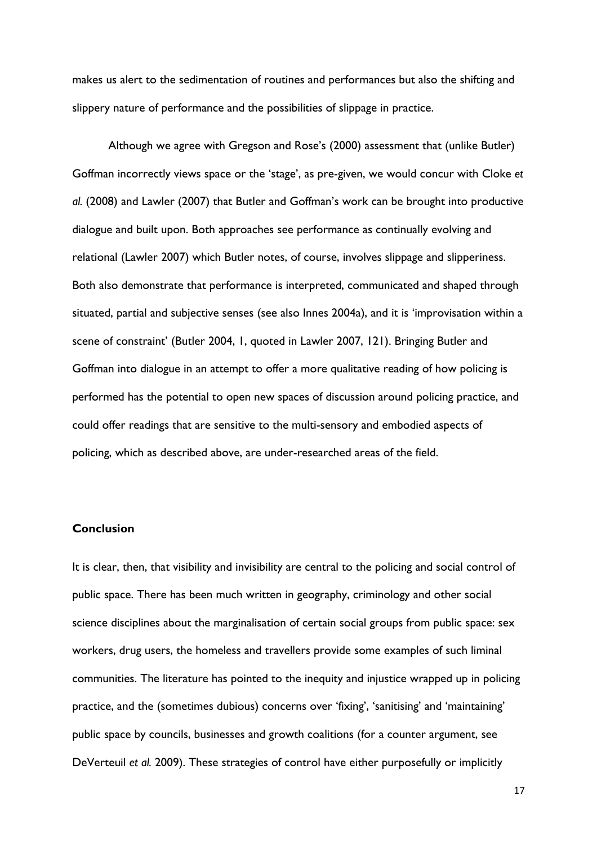makes us alert to the sedimentation of routines and performances but also the shifting and slippery nature of performance and the possibilities of slippage in practice.

Although we agree with Gregson and Rose's (2000) assessment that (unlike Butler) Goffman incorrectly views space or the 'stage', as pre-given, we would concur with Cloke *et al.* (2008) and Lawler (2007) that Butler and Goffman's work can be brought into productive dialogue and built upon. Both approaches see performance as continually evolving and relational (Lawler 2007) which Butler notes, of course, involves slippage and slipperiness. Both also demonstrate that performance is interpreted, communicated and shaped through situated, partial and subjective senses (see also Innes 2004a), and it is 'improvisation within a scene of constraint' (Butler 2004, 1, quoted in Lawler 2007, 121). Bringing Butler and Goffman into dialogue in an attempt to offer a more qualitative reading of how policing is performed has the potential to open new spaces of discussion around policing practice, and could offer readings that are sensitive to the multi-sensory and embodied aspects of policing, which as described above, are under-researched areas of the field.

#### **Conclusion**

It is clear, then, that visibility and invisibility are central to the policing and social control of public space. There has been much written in geography, criminology and other social science disciplines about the marginalisation of certain social groups from public space: sex workers, drug users, the homeless and travellers provide some examples of such liminal communities. The literature has pointed to the inequity and injustice wrapped up in policing practice, and the (sometimes dubious) concerns over 'fixing', 'sanitising' and 'maintaining' public space by councils, businesses and growth coalitions (for a counter argument, see DeVerteuil *et al.* 2009). These strategies of control have either purposefully or implicitly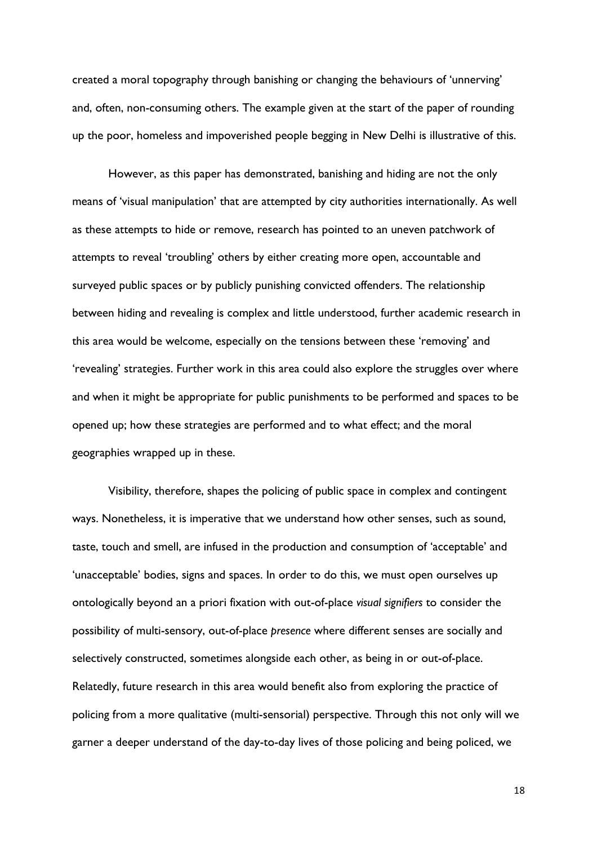created a moral topography through banishing or changing the behaviours of 'unnerving' and, often, non-consuming others. The example given at the start of the paper of rounding up the poor, homeless and impoverished people begging in New Delhi is illustrative of this.

However, as this paper has demonstrated, banishing and hiding are not the only means of 'visual manipulation' that are attempted by city authorities internationally. As well as these attempts to hide or remove, research has pointed to an uneven patchwork of attempts to reveal 'troubling' others by either creating more open, accountable and surveyed public spaces or by publicly punishing convicted offenders. The relationship between hiding and revealing is complex and little understood, further academic research in this area would be welcome, especially on the tensions between these 'removing' and 'revealing' strategies. Further work in this area could also explore the struggles over where and when it might be appropriate for public punishments to be performed and spaces to be opened up; how these strategies are performed and to what effect; and the moral geographies wrapped up in these.

Visibility, therefore, shapes the policing of public space in complex and contingent ways. Nonetheless, it is imperative that we understand how other senses, such as sound, taste, touch and smell, are infused in the production and consumption of 'acceptable' and 'unacceptable' bodies, signs and spaces. In order to do this, we must open ourselves up ontologically beyond an a priori fixation with out-of-place *visual signifiers* to consider the possibility of multi-sensory, out-of-place *presence* where different senses are socially and selectively constructed, sometimes alongside each other, as being in or out-of-place. Relatedly, future research in this area would benefit also from exploring the practice of policing from a more qualitative (multi-sensorial) perspective. Through this not only will we garner a deeper understand of the day-to-day lives of those policing and being policed, we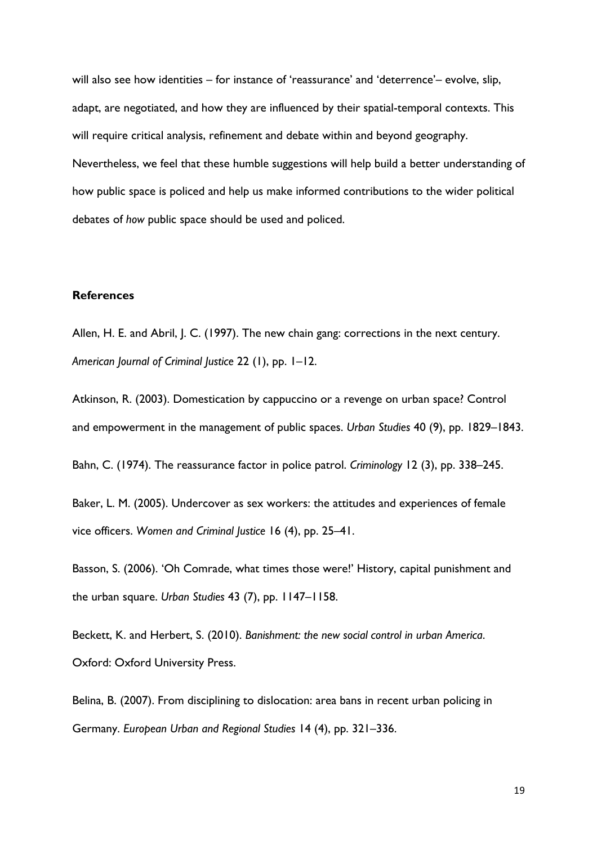will also see how identities – for instance of 'reassurance' and 'deterrence'– evolve, slip, adapt, are negotiated, and how they are influenced by their spatial-temporal contexts. This will require critical analysis, refinement and debate within and beyond geography. Nevertheless, we feel that these humble suggestions will help build a better understanding of how public space is policed and help us make informed contributions to the wider political debates of *how* public space should be used and policed.

#### **References**

Allen, H. E. and Abril, J. C. (1997). The new chain gang: corrections in the next century. *American Journal of Criminal Justice* 22 (1), pp. 1–12.

Atkinson, R. (2003). Domestication by cappuccino or a revenge on urban space? Control and empowerment in the management of public spaces. *Urban Studies* 40 (9), pp. 1829–1843.

Bahn, C. (1974). The reassurance factor in police patrol. *Criminology* 12 (3), pp. 338–245.

Baker, L. M. (2005). Undercover as sex workers: the attitudes and experiences of female vice officers. *Women and Criminal Justice* 16 (4), pp. 25–41.

Basson, S. (2006). 'Oh Comrade, what times those were!' History, capital punishment and the urban square. *Urban Studies* 43 (7), pp. 1147–1158.

Beckett, K. and Herbert, S. (2010). *Banishment: the new social control in urban America*. Oxford: Oxford University Press.

Belina, B. (2007). From disciplining to dislocation: area bans in recent urban policing in Germany. *European Urban and Regional Studies* 14 (4), pp. 321–336.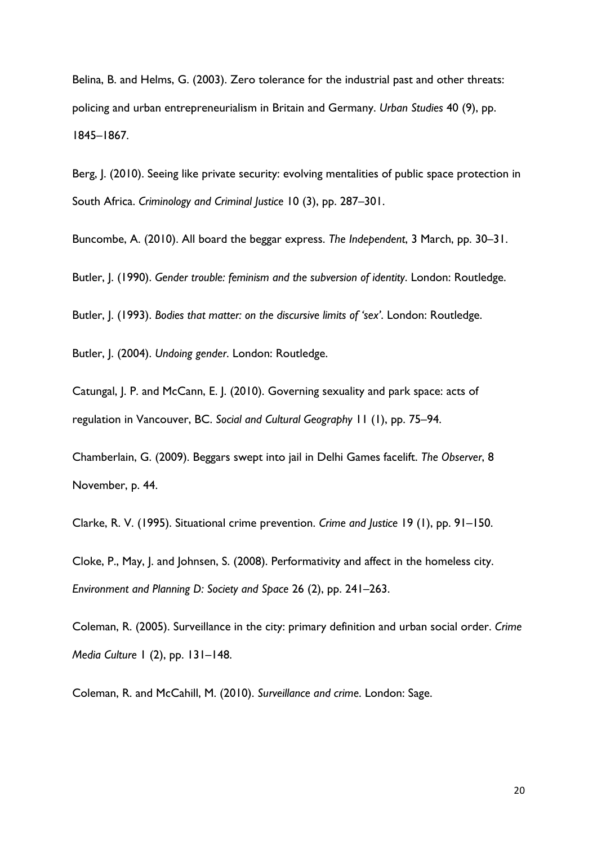Belina, B. and Helms, G. (2003). Zero tolerance for the industrial past and other threats: policing and urban entrepreneurialism in Britain and Germany. *Urban Studies* 40 (9), pp. 1845–1867.

Berg, J. (2010). Seeing like private security: evolving mentalities of public space protection in South Africa. *Criminology and Criminal Justice* 10 (3), pp. 287–301.

Buncombe, A. (2010). All board the beggar express. *The Independent*, 3 March, pp. 30–31.

Butler, J. (1990). *Gender trouble: feminism and the subversion of identity*. London: Routledge.

Butler, J. (1993). *Bodies that matter: on the discursive limits of 'sex'*. London: Routledge.

Butler, J. (2004). *Undoing gender*. London: Routledge.

Catungal, J. P. and McCann, E. J. (2010). Governing sexuality and park space: acts of regulation in Vancouver, BC. *Social and Cultural Geography* 11 (1), pp. 75–94.

Chamberlain, G. (2009). Beggars swept into jail in Delhi Games facelift. *The Observer*, 8 November, p. 44.

Clarke, R. V. (1995). Situational crime prevention. *Crime and Justice* 19 (1), pp. 91–150.

Cloke, P., May, J. and Johnsen, S. (2008). Performativity and affect in the homeless city. *Environment and Planning D: Society and Space* 26 (2), pp. 241–263.

Coleman, R. (2005). Surveillance in the city: primary definition and urban social order. *Crime Media Culture* 1 (2), pp. 131–148.

Coleman, R. and McCahill, M. (2010). *Surveillance and crime*. London: Sage.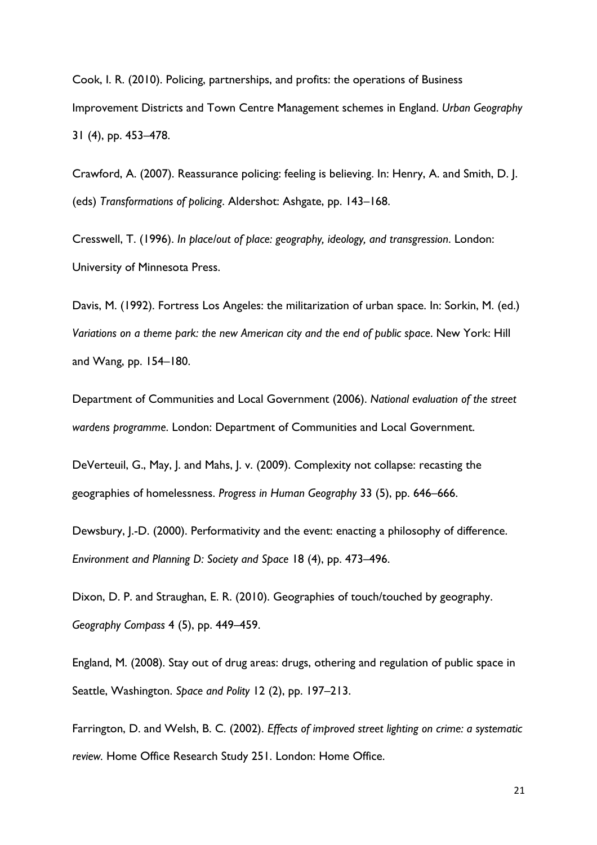Cook, I. R. (2010). Policing, partnerships, and profits: the operations of Business Improvement Districts and Town Centre Management schemes in England. *Urban Geography* 31 (4), pp. 453–478.

Crawford, A. (2007). Reassurance policing: feeling is believing. In: Henry, A. and Smith, D. J. (eds) *Transformations of policing*. Aldershot: Ashgate, pp. 143–168.

Cresswell, T. (1996). *In place/out of place: geography, ideology, and transgression*. London: University of Minnesota Press.

Davis, M. (1992). Fortress Los Angeles: the militarization of urban space. In: Sorkin, M. (ed.) *Variations on a theme park: the new American city and the end of public space*. New York: Hill and Wang, pp. 154–180.

Department of Communities and Local Government (2006). *National evaluation of the street wardens programme*. London: Department of Communities and Local Government.

DeVerteuil, G., May, J. and Mahs, J. v. (2009). Complexity not collapse: recasting the geographies of homelessness. *Progress in Human Geography* 33 (5), pp. 646–666.

Dewsbury, J.-D. (2000). Performativity and the event: enacting a philosophy of difference. *Environment and Planning D: Society and Space* 18 (4), pp. 473–496.

Dixon, D. P. and Straughan, E. R. (2010). Geographies of touch/touched by geography. *Geography Compass* 4 (5), pp. 449–459.

England, M. (2008). Stay out of drug areas: drugs, othering and regulation of public space in Seattle, Washington. *Space and Polity* 12 (2), pp. 197–213.

Farrington, D. and Welsh, B. C. (2002). *Effects of improved street lighting on crime: a systematic review.* Home Office Research Study 251. London: Home Office.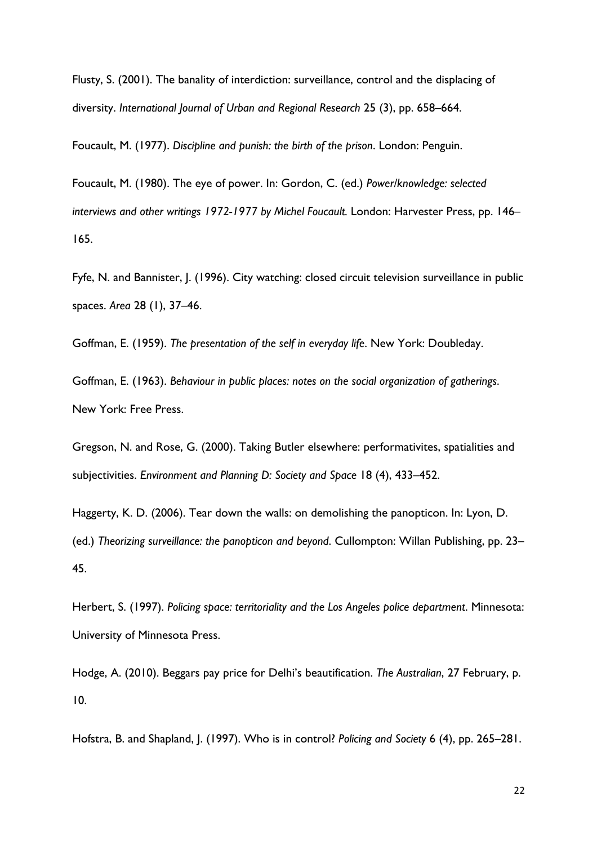Flusty, S. (2001). The banality of interdiction: surveillance, control and the displacing of diversity. *International Journal of Urban and Regional Research* 25 (3), pp. 658–664.

Foucault, M. (1977). *Discipline and punish: the birth of the prison*. London: Penguin.

Foucault, M. (1980). The eye of power. In: Gordon, C. (ed.) *Power/knowledge: selected interviews and other writings 1972-1977 by Michel Foucault.* London: Harvester Press, pp. 146– 165.

Fyfe, N. and Bannister, J. (1996). City watching: closed circuit television surveillance in public spaces. *Area* 28 (1), 37–46.

Goffman, E. (1959). *The presentation of the self in everyday life*. New York: Doubleday.

Goffman, E. (1963). *Behaviour in public places: notes on the social organization of gatherings*. New York: Free Press.

Gregson, N. and Rose, G. (2000). Taking Butler elsewhere: performativites, spatialities and subjectivities. *Environment and Planning D: Society and Space* 18 (4), 433–452.

Haggerty, K. D. (2006). Tear down the walls: on demolishing the panopticon. In: Lyon, D. (ed.) *Theorizing surveillance: the panopticon and beyond*. Cullompton: Willan Publishing, pp. 23– 45.

Herbert, S. (1997). *Policing space: territoriality and the Los Angeles police department*. Minnesota: University of Minnesota Press.

Hodge, A. (2010). Beggars pay price for Delhi's beautification. *The Australian*, 27 February, p. 10.

Hofstra, B. and Shapland, J. (1997). Who is in control? *Policing and Society* 6 (4), pp. 265–281.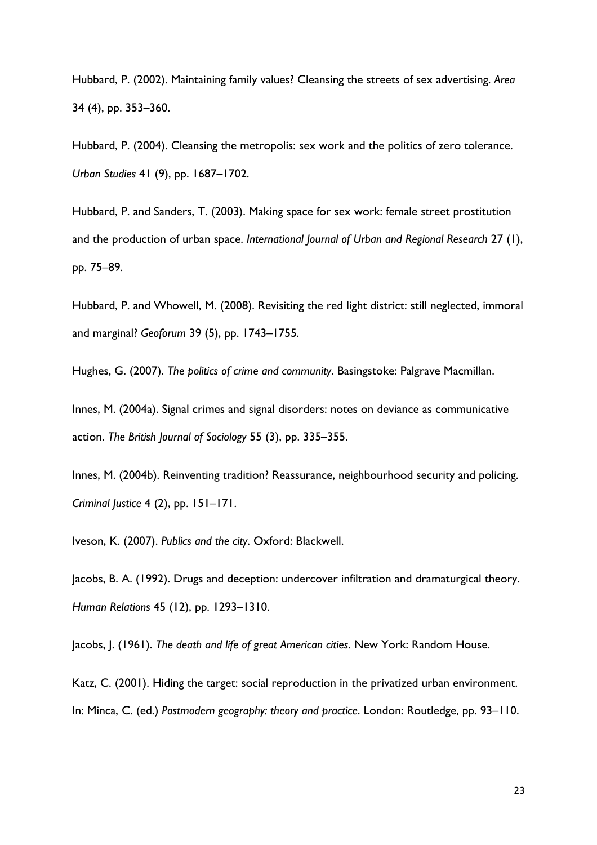Hubbard, P. (2002). Maintaining family values? Cleansing the streets of sex advertising. *Area* 34 (4), pp. 353–360.

Hubbard, P. (2004). Cleansing the metropolis: sex work and the politics of zero tolerance. *Urban Studies* 41 (9), pp. 1687–1702.

Hubbard, P. and Sanders, T. (2003). Making space for sex work: female street prostitution and the production of urban space. *International Journal of Urban and Regional Research* 27 (1), pp. 75–89.

Hubbard, P. and Whowell, M. (2008). Revisiting the red light district: still neglected, immoral and marginal? *Geoforum* 39 (5), pp. 1743–1755.

Hughes, G. (2007). *The politics of crime and community*. Basingstoke: Palgrave Macmillan.

Innes, M. (2004a). Signal crimes and signal disorders: notes on deviance as communicative action. *The British Journal of Sociology* 55 (3), pp. 335–355.

Innes, M. (2004b). Reinventing tradition? Reassurance, neighbourhood security and policing. *Criminal Justice* 4 (2), pp. 151–171.

Iveson, K. (2007). *Publics and the city*. Oxford: Blackwell.

Jacobs, B. A. (1992). Drugs and deception: undercover infiltration and dramaturgical theory. *Human Relations* 45 (12), pp. 1293–1310.

Jacobs, J. (1961). *The death and life of great American cities*. New York: Random House.

Katz, C. (2001). Hiding the target: social reproduction in the privatized urban environment. In: Minca, C. (ed.) *Postmodern geography: theory and practice*. London: Routledge, pp. 93–110.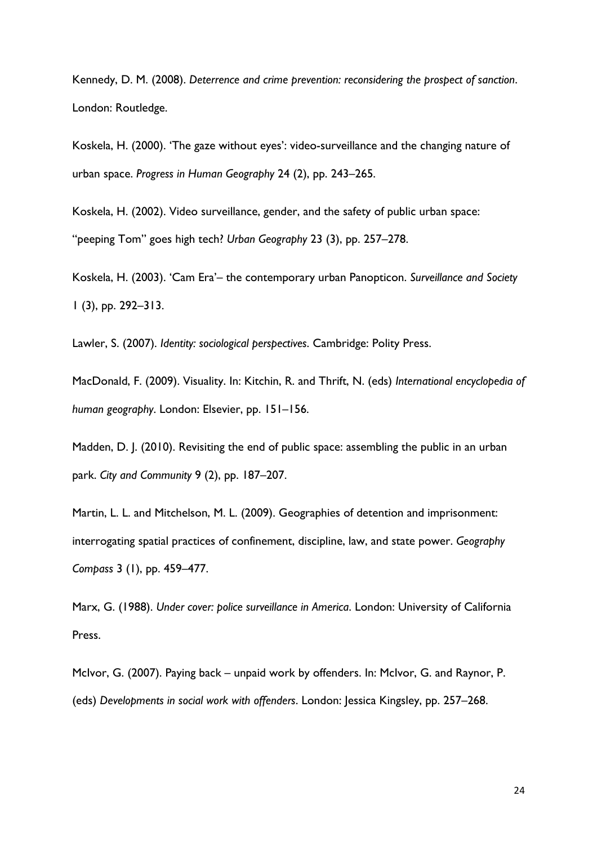Kennedy, D. M. (2008). *Deterrence and crime prevention: reconsidering the prospect of sanction*. London: Routledge.

Koskela, H. (2000). 'The gaze without eyes': video-surveillance and the changing nature of urban space. *Progress in Human Geography* 24 (2), pp. 243–265.

Koskela, H. (2002). Video surveillance, gender, and the safety of public urban space: "peeping Tom" goes high tech? *Urban Geography* 23 (3), pp. 257–278.

Koskela, H. (2003). 'Cam Era'– the contemporary urban Panopticon. *Surveillance and Society* 1 (3), pp. 292–313.

Lawler, S. (2007). *Identity: sociological perspectives*. Cambridge: Polity Press.

MacDonald, F. (2009). Visuality. In: Kitchin, R. and Thrift, N. (eds) *International encyclopedia of human geography*. London: Elsevier, pp. 151–156.

Madden, D. J. (2010). Revisiting the end of public space: assembling the public in an urban park. *City and Community* 9 (2), pp. 187–207.

Martin, L. L. and Mitchelson, M. L. (2009). Geographies of detention and imprisonment: interrogating spatial practices of confinement, discipline, law, and state power. *Geography Compass* 3 (1), pp. 459–477.

Marx, G. (1988). *Under cover: police surveillance in America*. London: University of California Press.

McIvor, G. (2007). Paying back – unpaid work by offenders. In: McIvor, G. and Raynor, P. (eds) *Developments in social work with offenders*. London: Jessica Kingsley, pp. 257–268.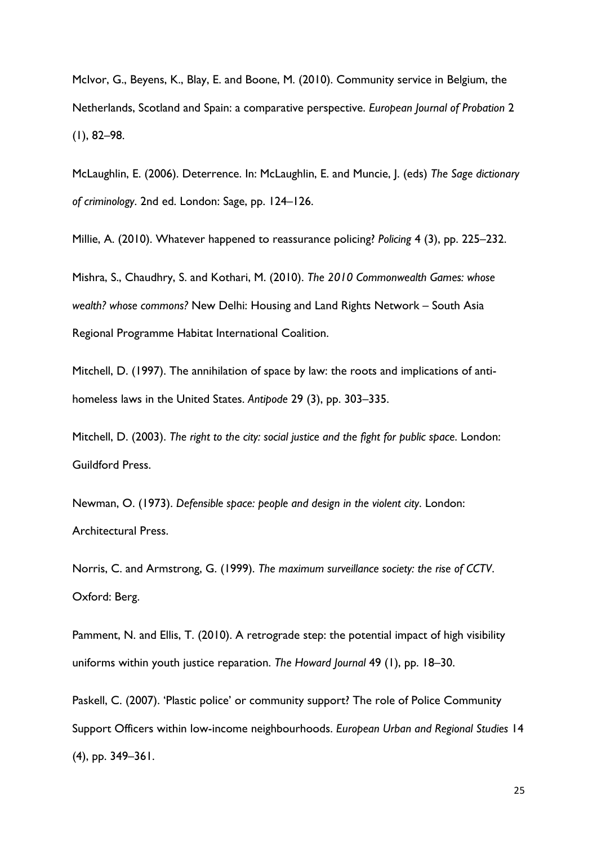McIvor, G., Beyens, K., Blay, E. and Boone, M. (2010). Community service in Belgium, the Netherlands, Scotland and Spain: a comparative perspective. *European Journal of Probation* 2 (1), 82–98.

McLaughlin, E. (2006). Deterrence. In: McLaughlin, E. and Muncie, J. (eds) *The Sage dictionary of criminology*. 2nd ed. London: Sage, pp. 124–126.

Millie, A. (2010). Whatever happened to reassurance policing? *Policing* 4 (3), pp. 225–232.

Mishra, S., Chaudhry, S. and Kothari, M. (2010). *The 2010 Commonwealth Games: whose wealth? whose commons?* New Delhi: Housing and Land Rights Network – South Asia Regional Programme Habitat International Coalition.

Mitchell, D. (1997). The annihilation of space by law: the roots and implications of antihomeless laws in the United States. *Antipode* 29 (3), pp. 303–335.

Mitchell, D. (2003). *The right to the city: social justice and the fight for public space*. London: Guildford Press.

Newman, O. (1973). *Defensible space: people and design in the violent city*. London: Architectural Press.

Norris, C. and Armstrong, G. (1999). *The maximum surveillance society: the rise of CCTV*. Oxford: Berg.

Pamment, N. and Ellis, T. (2010). A retrograde step: the potential impact of high visibility uniforms within youth justice reparation. *The Howard Journal* 49 (1), pp. 18–30.

Paskell, C. (2007). 'Plastic police' or community support? The role of Police Community Support Officers within low-income neighbourhoods. *European Urban and Regional Studies* 14 (4), pp. 349–361.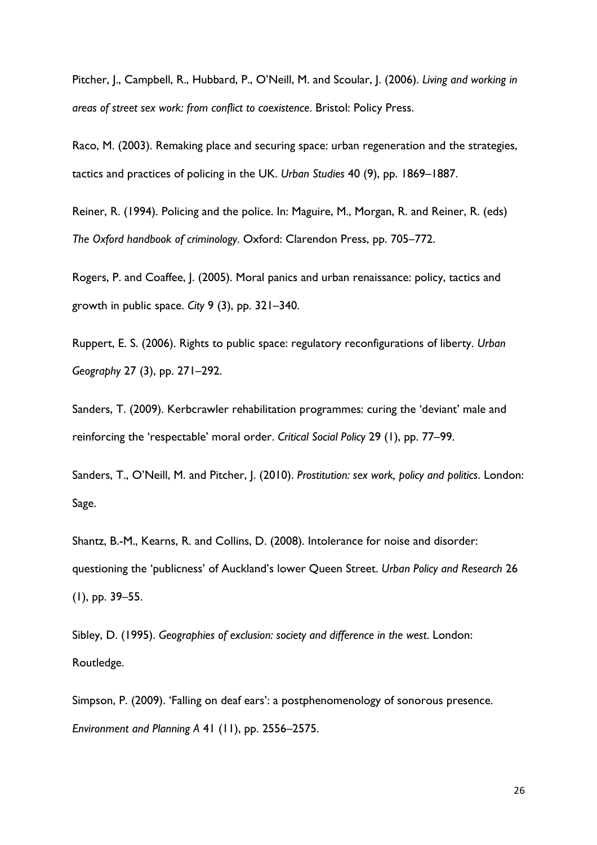Pitcher, J., Campbell, R., Hubbard, P., O'Neill, M. and Scoular, J. (2006). *Living and working in areas of street sex work: from conflict to coexistence*. Bristol: Policy Press.

Raco, M. (2003). Remaking place and securing space: urban regeneration and the strategies, tactics and practices of policing in the UK. *Urban Studies* 40 (9), pp. 1869–1887.

Reiner, R. (1994). Policing and the police. In: Maguire, M., Morgan, R. and Reiner, R. (eds) *The Oxford handbook of criminology*. Oxford: Clarendon Press, pp. 705–772.

Rogers, P. and Coaffee, J. (2005). Moral panics and urban renaissance: policy, tactics and growth in public space. *City* 9 (3), pp. 321–340.

Ruppert, E. S. (2006). Rights to public space: regulatory reconfigurations of liberty. *Urban Geography* 27 (3), pp. 271–292.

Sanders, T. (2009). Kerbcrawler rehabilitation programmes: curing the 'deviant' male and reinforcing the 'respectable' moral order. *Critical Social Policy* 29 (1), pp. 77–99.

Sanders, T., O'Neill, M. and Pitcher, J. (2010). *Prostitution: sex work, policy and politics*. London: Sage.

Shantz, B.-M., Kearns, R. and Collins, D. (2008). Intolerance for noise and disorder: questioning the 'publicness' of Auckland's lower Queen Street. *Urban Policy and Research* 26 (1), pp. 39–55.

Sibley, D. (1995). *Geographies of exclusion: society and difference in the west*. London: Routledge.

Simpson, P. (2009). 'Falling on deaf ears': a postphenomenology of sonorous presence. *Environment and Planning A* 41 (11), pp. 2556–2575.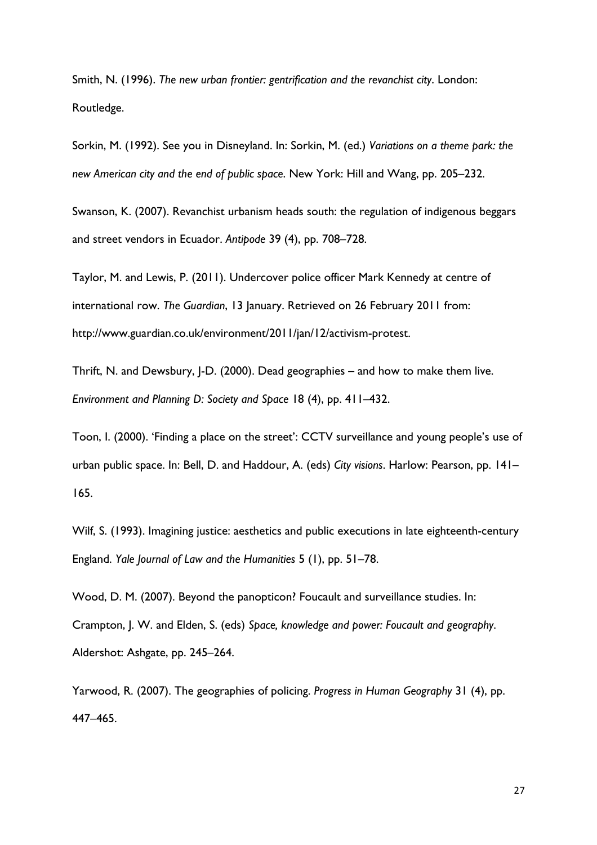Smith, N. (1996). *The new urban frontier: gentrification and the revanchist city*. London: Routledge.

Sorkin, M. (1992). See you in Disneyland. In: Sorkin, M. (ed.) *Variations on a theme park: the new American city and the end of public space*. New York: Hill and Wang, pp. 205–232.

Swanson, K. (2007). Revanchist urbanism heads south: the regulation of indigenous beggars and street vendors in Ecuador. *Antipode* 39 (4), pp. 708–728.

Taylor, M. and Lewis, P. (2011). Undercover police officer Mark Kennedy at centre of international row. *The Guardian*, 13 January. Retrieved on 26 February 2011 from: http://www.guardian.co.uk/environment/2011/jan/12/activism-protest.

Thrift, N. and Dewsbury, J-D. (2000). Dead geographies – and how to make them live. *Environment and Planning D: Society and Space* 18 (4), pp. 411–432.

Toon, I. (2000). 'Finding a place on the street': CCTV surveillance and young people's use of urban public space. In: Bell, D. and Haddour, A. (eds) *City visions*. Harlow: Pearson, pp. 141– 165.

Wilf, S. (1993). Imagining justice: aesthetics and public executions in late eighteenth-century England. *Yale Journal of Law and the Humanities* 5 (1), pp. 51–78.

Wood, D. M. (2007). Beyond the panopticon? Foucault and surveillance studies. In: Crampton, J. W. and Elden, S. (eds) *Space, knowledge and power: Foucault and geography*. Aldershot: Ashgate, pp. 245–264.

Yarwood, R. (2007). The geographies of policing. *Progress in Human Geography* 31 (4), pp. 447–465.